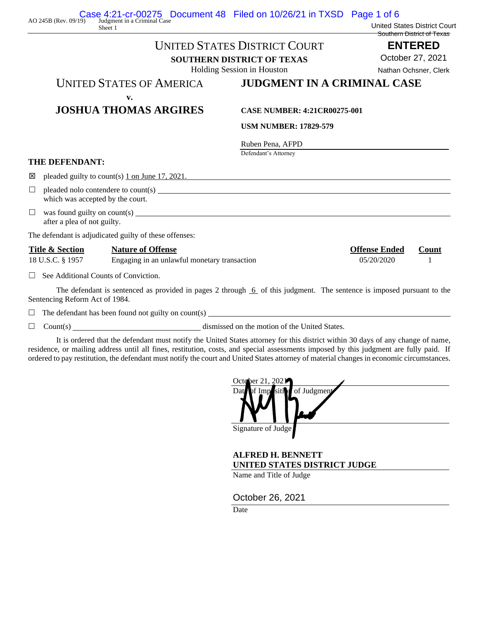|                                                | <b>UNITED STATES DISTRICT COURT</b>                                                                                                                       |                                                                       |                                    | <b>ENTERED</b><br>October 27, 2021<br>Nathan Ochsner, Clerk |  |
|------------------------------------------------|-----------------------------------------------------------------------------------------------------------------------------------------------------------|-----------------------------------------------------------------------|------------------------------------|-------------------------------------------------------------|--|
|                                                |                                                                                                                                                           | <b>SOUTHERN DISTRICT OF TEXAS</b><br>Holding Session in Houston       |                                    |                                                             |  |
|                                                |                                                                                                                                                           |                                                                       |                                    |                                                             |  |
|                                                |                                                                                                                                                           | <b>UNITED STATES OF AMERICA</b><br><b>JUDGMENT IN A CRIMINAL CASE</b> |                                    |                                                             |  |
| v.<br><b>JOSHUA THOMAS ARGIRES</b>             |                                                                                                                                                           | <b>CASE NUMBER: 4:21CR00275-001</b>                                   |                                    |                                                             |  |
|                                                |                                                                                                                                                           | <b>USM NUMBER: 17829-579</b>                                          |                                    |                                                             |  |
|                                                |                                                                                                                                                           | Ruben Pena, AFPD<br>Defendant's Attorney                              |                                    |                                                             |  |
| <b>THE DEFENDANT:</b>                          |                                                                                                                                                           |                                                                       |                                    |                                                             |  |
| 区                                              | pleaded guilty to count(s) $1$ on June 17, 2021.                                                                                                          |                                                                       |                                    |                                                             |  |
| $\Box$                                         | which was accepted by the court.                                                                                                                          |                                                                       |                                    |                                                             |  |
| $\Box$                                         | was found guilty on count(s) $\qquad \qquad$<br>after a plea of not guilty.                                                                               |                                                                       |                                    |                                                             |  |
|                                                | The defendant is adjudicated guilty of these offenses:                                                                                                    |                                                                       |                                    |                                                             |  |
| <b>Title &amp; Section</b><br>18 U.S.C. § 1957 | <b>Nature of Offense</b><br>Engaging in an unlawful monetary transaction                                                                                  |                                                                       | <b>Offense Ended</b><br>05/20/2020 | Count                                                       |  |
|                                                | $\Box$ See Additional Counts of Conviction.                                                                                                               |                                                                       |                                    |                                                             |  |
|                                                | The defendant is sentenced as provided in pages 2 through $6$ of this judgment. The sentence is imposed pursuant to the<br>Sentencing Reform Act of 1984. |                                                                       |                                    |                                                             |  |
|                                                | $\Box$ The defendant has been found not guilty on count(s) $\Box$                                                                                         |                                                                       |                                    |                                                             |  |
| $\Box$<br>Count(s) $\overline{\phantom{a}}$    |                                                                                                                                                           | dismissed on the motion of the United States.                         |                                    |                                                             |  |

AO 245B (Rev. 09/19) Case 4:21-cr-00275 Document 48 Filed on 10/26/21 in TXSD Page 1 of 6

Sheet 1

It is ordered that the defendant must notify the United States attorney for this district within 30 days of any change of name, residence, or mailing address until all fines, restitution, costs, and special assessments imposed by this judgment are fully paid. If ordered to pay restitution, the defendant must notify the court and United States attorney of material changes in economic circumstances.

| October 21, 2021               |  |
|--------------------------------|--|
| Date of Imposition of Judgment |  |
|                                |  |
|                                |  |
|                                |  |
| Signature of Judge             |  |
|                                |  |

United States District Court Southern District of Texas

**ALFRED H. BENNETT UNITED STATES DISTRICT JUDGE**

Name and Title of Judge

October 26, 2021

Date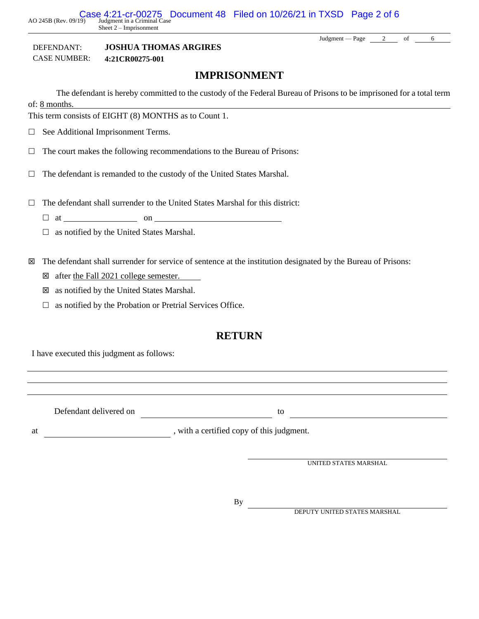AO 245B (Rev. 09/19) Case 4:21-cr-00275 Document 48 Filed on 10/26/21 in TXSD Page 2 of 6 Sheet 2 – Imprisonment

DEFENDANT: **JOSHUA THOMAS ARGIRES** CASE NUMBER: **4:21CR00275-001**

### **IMPRISONMENT**

The defendant is hereby committed to the custody of the Federal Bureau of Prisons to be imprisoned for a total term of: 8 months.

This term consists of EIGHT (8) MONTHS as to Count 1.

 $\Box$  See Additional Imprisonment Terms.

 $\Box$  The court makes the following recommendations to the Bureau of Prisons:

 $\Box$  The defendant is remanded to the custody of the United States Marshal.

 $\Box$  The defendant shall surrender to the United States Marshal for this district:

 $\Box$  at  $\Box$  on  $\Box$ 

 $\Box$  as notified by the United States Marshal.

The defendant shall surrender for service of sentence at the institution designated by the Bureau of Prisons:

after the Fall 2021 college semester.

 $\boxtimes$  as notified by the United States Marshal.

 $\Box$  as notified by the Probation or Pretrial Services Office.

### **RETURN**

I have executed this judgment as follows:

Defendant delivered on to to

at , with a certified copy of this judgment.

UNITED STATES MARSHAL

By

DEPUTY UNITED STATES MARSHAL

Judgment — Page  $\begin{array}{|c|c|c|c|c|} \hline 2 & \text{of} & \text{6} \ \hline \end{array}$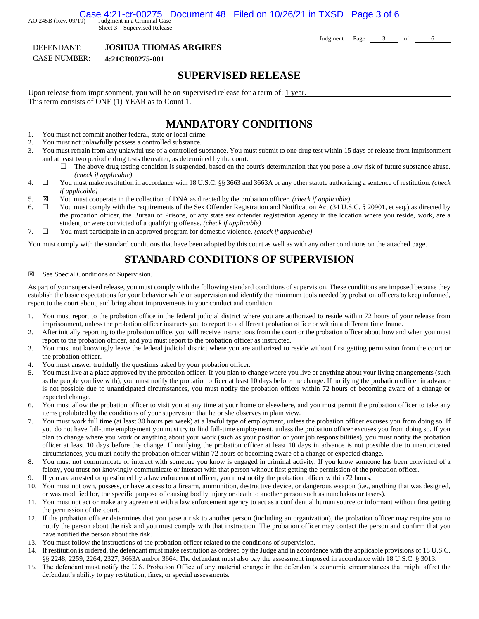AO 245B (Rev. 09/19) Judgment in a Criminal Case Case 4:21-cr-00275 Document 48 Filed on 10/26/21 in TXSD Page 3 of 6

Sheet 3 – Supervised Release

DEFENDANT: **JOSHUA THOMAS ARGIRES**

CASE NUMBER: **4:21CR00275-001**

### **SUPERVISED RELEASE**

Upon release from imprisonment, you will be on supervised release for a term of:  $1$  year. This term consists of ONE (1) YEAR as to Count 1.

# **MANDATORY CONDITIONS**

- 1. You must not commit another federal, state or local crime.
- 2. You must not unlawfully possess a controlled substance.
- 3. You must refrain from any unlawful use of a controlled substance. You must submit to one drug test within 15 days of release from imprisonment and at least two periodic drug tests thereafter, as determined by the court.
	- $\Box$  The above drug testing condition is suspended, based on the court's determination that you pose a low risk of future substance abuse. *(check if applicable)*
- 4. You must make restitution in accordance with 18 U.S.C. §§ 3663 and 3663A or any other statute authorizing a sentence of restitution. *(check if applicable)*
- 5.  $\boxtimes$  You must cooperate in the collection of DNA as directed by the probation officer. *(check if applicable)*
- 6.  $\Box$  You must comply with the requirements of the Sex Offender Registration and Notification Act (34 U.S.C. § 20901, et seq.) as directed by the probation officer, the Bureau of Prisons, or any state sex offender registration agency in the location where you reside, work, are a student, or were convicted of a qualifying offense. *(check if applicable)*
- 7. You must participate in an approved program for domestic violence. *(check if applicable)*

You must comply with the standard conditions that have been adopted by this court as well as with any other conditions on the attached page.

### **STANDARD CONDITIONS OF SUPERVISION**

#### See Special Conditions of Supervision.

As part of your supervised release, you must comply with the following standard conditions of supervision. These conditions are imposed because they establish the basic expectations for your behavior while on supervision and identify the minimum tools needed by probation officers to keep informed, report to the court about, and bring about improvements in your conduct and condition.

- 1. You must report to the probation office in the federal judicial district where you are authorized to reside within 72 hours of your release from imprisonment, unless the probation officer instructs you to report to a different probation office or within a different time frame.
- 2. After initially reporting to the probation office, you will receive instructions from the court or the probation officer about how and when you must report to the probation officer, and you must report to the probation officer as instructed.
- 3. You must not knowingly leave the federal judicial district where you are authorized to reside without first getting permission from the court or the probation officer.
- 4. You must answer truthfully the questions asked by your probation officer.
- 5. You must live at a place approved by the probation officer. If you plan to change where you live or anything about your living arrangements (such as the people you live with), you must notify the probation officer at least 10 days before the change. If notifying the probation officer in advance is not possible due to unanticipated circumstances, you must notify the probation officer within 72 hours of becoming aware of a change or expected change.
- 6. You must allow the probation officer to visit you at any time at your home or elsewhere, and you must permit the probation officer to take any items prohibited by the conditions of your supervision that he or she observes in plain view.
- 7. You must work full time (at least 30 hours per week) at a lawful type of employment, unless the probation officer excuses you from doing so. If you do not have full-time employment you must try to find full-time employment, unless the probation officer excuses you from doing so. If you plan to change where you work or anything about your work (such as your position or your job responsibilities), you must notify the probation officer at least 10 days before the change. If notifying the probation officer at least 10 days in advance is not possible due to unanticipated circumstances, you must notify the probation officer within 72 hours of becoming aware of a change or expected change.
- 8. You must not communicate or interact with someone you know is engaged in criminal activity. If you know someone has been convicted of a felony, you must not knowingly communicate or interact with that person without first getting the permission of the probation officer.
- 9. If you are arrested or questioned by a law enforcement officer, you must notify the probation officer within 72 hours.
- 10. You must not own, possess, or have access to a firearm, ammunition, destructive device, or dangerous weapon (i.e., anything that was designed, or was modified for, the specific purpose of causing bodily injury or death to another person such as nunchakus or tasers).
- 11. You must not act or make any agreement with a law enforcement agency to act as a confidential human source or informant without first getting the permission of the court.
- 12. If the probation officer determines that you pose a risk to another person (including an organization), the probation officer may require you to notify the person about the risk and you must comply with that instruction. The probation officer may contact the person and confirm that you have notified the person about the risk.
- 13. You must follow the instructions of the probation officer related to the conditions of supervision.
- 14. If restitution is ordered, the defendant must make restitution as ordered by the Judge and in accordance with the applicable provisions of 18 U.S.C. §§ 2248, 2259, 2264, 2327, 3663A and/or 3664. The defendant must also pay the assessment imposed in accordance with 18 U.S.C. § 3013.
- 15. The defendant must notify the U.S. Probation Office of any material change in the defendant's economic circumstances that might affect the defendant's ability to pay restitution, fines, or special assessments.

Judgment — Page 3 of 6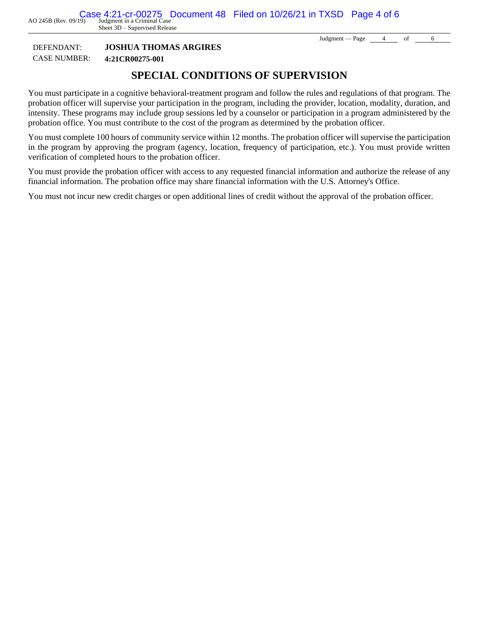Sheet 3D – Supervised Release

Judgment — Page  $\qquad 4$  of 6

### DEFENDANT: **JOSHUA THOMAS ARGIRES** CASE NUMBER: **4:21CR00275-001**

# **SPECIAL CONDITIONS OF SUPERVISION**

You must participate in a cognitive behavioral-treatment program and follow the rules and regulations of that program. The probation officer will supervise your participation in the program, including the provider, location, modality, duration, and intensity. These programs may include group sessions led by a counselor or participation in a program administered by the probation office. You must contribute to the cost of the program as determined by the probation officer.

You must complete 100 hours of community service within 12 months. The probation officer will supervise the participation in the program by approving the program (agency, location, frequency of participation, etc.). You must provide written verification of completed hours to the probation officer.

You must provide the probation officer with access to any requested financial information and authorize the release of any financial information. The probation office may share financial information with the U.S. Attorney's Office.

You must not incur new credit charges or open additional lines of credit without the approval of the probation officer.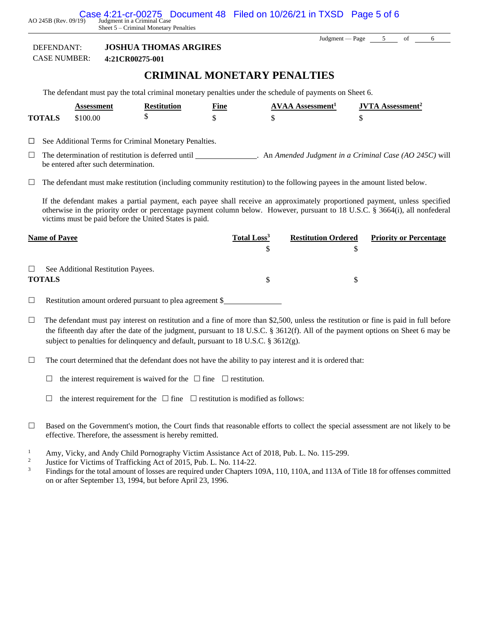AO 245B (Rev. 09/19) Judgment in a Criminal Case Case 4:21-cr-00275 Document 48 Filed on 10/26/21 in TXSD Page 5 of 6

Sheet 5 – Criminal Monetary Penalties

Judgment — Page 5 of 6

### DEFENDANT: **JOSHUA THOMAS ARGIRES**

CASE NUMBER: **4:21CR00275-001**

### **CRIMINAL MONETARY PENALTIES**

The defendant must pay the total criminal monetary penalties under the schedule of payments on Sheet 6.

|               | Assessment | <b>Restitution</b> | <b>Fine</b> | <b>AVAA Assessment</b> <sup>1</sup> | <b>JVTA</b> Assessment <sup>2</sup> |
|---------------|------------|--------------------|-------------|-------------------------------------|-------------------------------------|
| <b>TOTALS</b> | \$100.00   |                    |             |                                     |                                     |
|               |            |                    |             |                                     |                                     |

☐ See Additional Terms for Criminal Monetary Penalties.

 $\Box$  The determination of restitution is deferred until  $\Box$ . An *Amended Judgment in a Criminal Case (AO 245C)* will be entered after such determination.

 $\Box$  The defendant must make restitution (including community restitution) to the following payees in the amount listed below.

If the defendant makes a partial payment, each payee shall receive an approximately proportioned payment, unless specified otherwise in the priority order or percentage payment column below. However, pursuant to 18 U.S.C. § 3664(i), all nonfederal victims must be paid before the United States is paid.

| <b>Name of Payee</b>                                          | Total Loss <sup>3</sup> | <b>Restitution Ordered</b> | <b>Priority or Percentage</b> |
|---------------------------------------------------------------|-------------------------|----------------------------|-------------------------------|
|                                                               |                         |                            |                               |
| $\Box$<br>See Additional Restitution Payees.<br><b>TOTALS</b> |                         | S                          |                               |

 $\Box$  Restitution amount ordered pursuant to plea agreement \$

- $\Box$  The defendant must pay interest on restitution and a fine of more than \$2,500, unless the restitution or fine is paid in full before the fifteenth day after the date of the judgment, pursuant to 18 U.S.C. § 3612(f). All of the payment options on Sheet 6 may be subject to penalties for delinquency and default, pursuant to 18 U.S.C.  $\S$  3612(g).
- $\Box$  The court determined that the defendant does not have the ability to pay interest and it is ordered that:
	- $\Box$  the interest requirement is waived for the  $\Box$  fine  $\Box$  restitution.
	- $\Box$  the interest requirement for the  $\Box$  fine  $\Box$  restitution is modified as follows:
- $\Box$  Based on the Government's motion, the Court finds that reasonable efforts to collect the special assessment are not likely to be effective. Therefore, the assessment is hereby remitted.
- <sup>1</sup> Amy, Vicky, and Andy Child Pornography Victim Assistance Act of 2018, Pub. L. No. 115-299.
- 2 Justice for Victims of Trafficking Act of 2015, Pub. L. No. 114-22.
- <sup>3</sup> Findings for the total amount of losses are required under Chapters 109A, 110, 110A, and 113A of Title 18 for offenses committed on or after September 13, 1994, but before April 23, 1996.